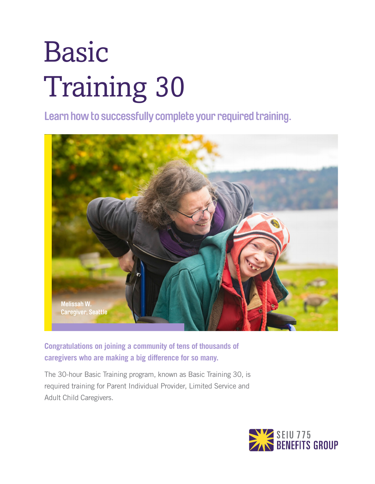# Basic Training 30

**Learn how to successfully complete your required training.**



**Congratulations on joining a community of tens of thousands of caregivers who are making a big difference for so many.**

The 30-hour Basic Training program, known as Basic Training 30, is required training for Parent Individual Provider, Limited Service and Adult Child Caregivers.

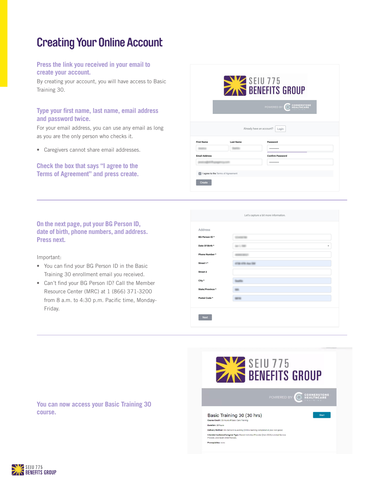# **Creating Your Online Account**

### **Press the link you received in your email to create your account.**

By creating your account, you will have access to Basic Training 30.

## **Type your first name, last name, email address and password twice.**

For your email address, you can use any email as long as you are the only person who checks it.

• Caregivers cannot share email addresses.

**Check the box that says "I agree to the Terms of Agreement" and press create.**

|                      |                                   | SEIU 775                                       |
|----------------------|-----------------------------------|------------------------------------------------|
|                      |                                   | <b>CORNERSTONE</b><br>HEALTHCARE<br>POWERED BY |
|                      |                                   | Already have an account?<br>Login              |
| <b>First Name</b>    | <b>Last Name</b>                  | Password                                       |
|                      |                                   |                                                |
| <b>Email Address</b> |                                   | <b>Confirm Password</b>                        |
|                      |                                   |                                                |
|                      | I agree to the Terms of Agreement |                                                |

**On the next page, put your BG Person ID, date of birth, phone numbers, and address. Press next.** 

Important:

- You can find your BG Person ID in the Basic Training 30 enrollment email you received.
- Can't find your BG Person ID? Call the Member Resource Center (MRC) at 1 (866) 371-3200 from 8 a.m. to 4:30 p.m. Pacific time, Monday-Friday.

| Let's capture a bit more information. |                   |  |  |
|---------------------------------------|-------------------|--|--|
|                                       |                   |  |  |
| Address                               |                   |  |  |
| <b>BG Person ID*</b>                  |                   |  |  |
| Date Of Birth *                       | ٠                 |  |  |
| <b>Phone Number*</b>                  |                   |  |  |
| Street 1*                             | <b>COL Aug TH</b> |  |  |
| Street 2                              |                   |  |  |
| City *                                |                   |  |  |
| State/Province *                      |                   |  |  |
| Postal Code <sup>*</sup>              |                   |  |  |
|                                       |                   |  |  |
| <b>Next</b>                           |                   |  |  |



**You can now access your Basic Training 30 course.** 

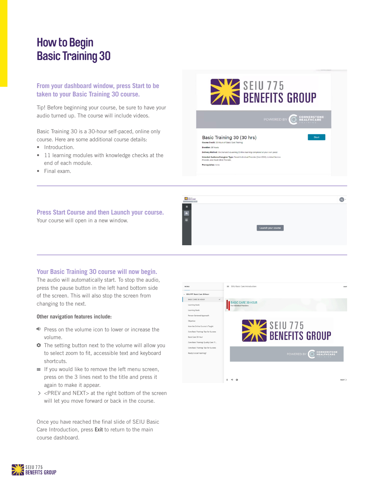# **How to Begin Basic Training 30**

## **From your dashboard window, press Start to be taken to your Basic Training 30 course.**

Tip! Before beginning your course, be sure to have your audio turned up. The course will include videos.

Basic Training 30 is a 30-hour self-paced, online only course. Here are some additional course details:

- Introduction.
- 11 learning modules with knowledge checks at the end of each module.
- Final exam.



 $R$ 



## **Your Basic Training 30 course will now begin.**

The audio will automatically start. To stop the audio, press the pause button in the left hand bottom side of the screen. This will also stop the screen from changing to the next.

#### **Other navigation features include:**

- Press on the volume icon to lower or increase the volume.
- **•** The setting button next to the volume will allow you to select zoom to fit, accessible text and keyboard shortcuts.
- $\equiv$  If you would like to remove the left menu screen, press on the 3 lines next to the title and press it again to make it appear.
- <PREV and NEXT> at the right bottom of the screen will let you move forward or back in the course.

Once you have reached the final slide of SEIU Basic Care Introduction, press **Exit** to return to the main course dashboard.